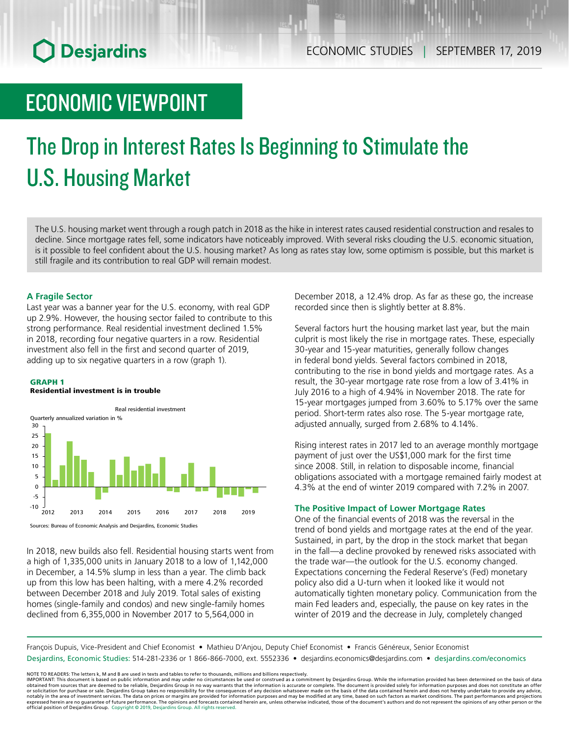## ECONOMIC VIEWPOINT

# The Drop in Interest Rates Is Beginning to Stimulate the U.S. Housing Market

The U.S. housing market went through a rough patch in 2018 as the hike in interest rates caused residential construction and resales to decline. Since mortgage rates fell, some indicators have noticeably improved. With several risks clouding the U.S. economic situation, is it possible to feel confident about the U.S. housing market? As long as rates stay low, some optimism is possible, but this market is still fragile and its contribution to real GDP will remain modest.

### **A Fragile Sector**

Last year was a banner year for the U.S. economy, with real GDP up 2.9%. However, the housing sector failed to contribute to this strong performance. Real residential investment declined 1.5% in 2018, recording four negative quarters in a row. Residential investment also fell in the first and second quarter of 2019, adding up to six negative quarters in a row (graph 1).

### GRAPH 1

#### Residential investment is in trouble



In 2018, new builds also fell. Residential housing starts went from a high of 1,335,000 units in January 2018 to a low of 1,142,000 in December, a 14.5% slump in less than a year. The climb back up from this low has been halting, with a mere 4.2% recorded between December 2018 and July 2019. Total sales of existing homes (single-family and condos) and new single-family homes declined from 6,355,000 in November 2017 to 5,564,000 in

December 2018, a 12.4% drop. As far as these go, the increase recorded since then is slightly better at 8.8%.

Several factors hurt the housing market last year, but the main culprit is most likely the rise in mortgage rates. These, especially 30-year and 15-year maturities, generally follow changes in federal bond yields. Several factors combined in 2018, contributing to the rise in bond yields and mortgage rates. As a result, the 30-year mortgage rate rose from a low of 3.41% in July 2016 to a high of 4.94% in November 2018. The rate for 15-year mortgages jumped from 3.60% to 5.17% over the same period. Short-term rates also rose. The 5-year mortgage rate, adjusted annually, surged from 2.68% to 4.14%.

Rising interest rates in 2017 led to an average monthly mortgage payment of just over the US\$1,000 mark for the first time since 2008. Still, in relation to disposable income, financial obligations associated with a mortgage remained fairly modest at 4.3% at the end of winter 2019 compared with 7.2% in 2007.

### **The Positive Impact of Lower Mortgage Rates**

One of the financial events of 2018 was the reversal in the trend of bond yields and mortgage rates at the end of the year. Sustained, in part, by the drop in the stock market that began in the fall—a decline provoked by renewed risks associated with the trade war—the outlook for the U.S. economy changed. Expectations concerning the Federal Reserve's (Fed) monetary policy also did a U-turn when it looked like it would not automatically tighten monetary policy. Communication from the main Fed leaders and, especially, the pause on key rates in the winter of 2019 and the decrease in July, completely changed

François Dupuis, Vice-President and Chief Economist • Mathieu D'Anjou, Deputy Chief Economist • Francis Généreux, Senior Economist Desjardins, Economic Studies: 514-281-2336 or 1 866-866-7000, ext. 5552336 • desjardins.economics@desjardins.com • [desjardins.com/economics](http://desjardins.com/economics)

NOTE TO READERS: The letters k, M and B are used in texts and tables to refer to thousands, millions and billions respectively.<br>IMPORTANT: This document is based on public information and may under no circumstances be used obtained from sources that are deemed to be reliable, Desjardins Group in no way warrants that the information is accurate or complete. The document is provided solely for information purposes and does not constitute an of expressed herein are no guarantee of future performance. The opinions and forecasts contained herein are, unless otherwise indicated, those of the document's authors and do not represent the opinions of any other person or official position of Desjardins Group. Copyright © 2019, Desjardins Group. All rights reserved.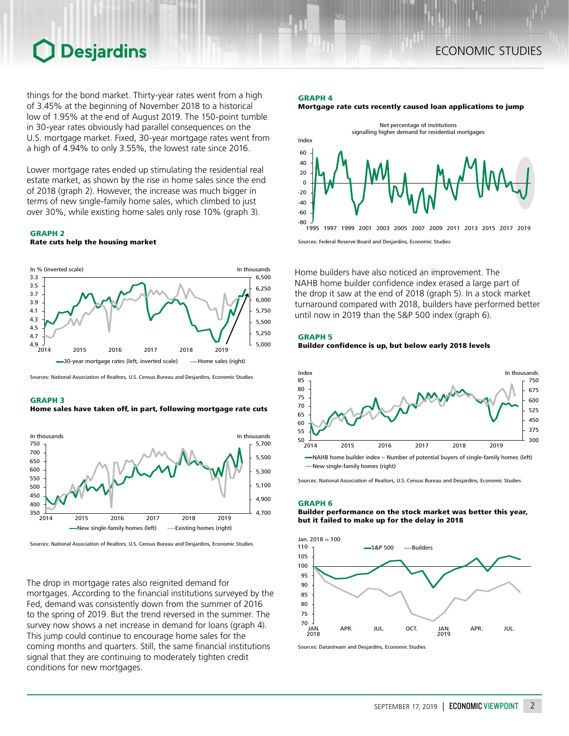things for the bond market. Thirty-year rates went from a high of 3.45% at the beginning of November 2018 to a historical low of 1.95% at the end of August 2019. The 150-point tumble in 30-year rates obviously had parallel consequences on the U.S. mortgage market. Fixed, 30-year mortgage rates went from a high of 4.94% to only 3.55%, the lowest rate since 2016.

Lower mortgage rates ended up stimulating the residential real estate market, as shown by the rise in home sales since the end of 2018 (graph 2). However, the increase was much bigger in terms of new single-family home sales, which climbed to just over 30%, while existing home sales only rose 10% (graph 3).

## GRAPH 2

Rate cuts help the housing market



Sources: National Association of Realtors, U.S. Census Bureau and Desjardins, Economic Studies

#### GRAPH 3

Home sales have taken off, in part, following mortgage rate cuts



Sources: National Association of Realtors, U.S. Census Bureau and Desjardins, Economic Studies

The drop in mortgage rates also reignited demand for mortgages. According to the financial institutions surveyed by the Fed, demand was consistently down from the summer of 2016 to the spring of 2019. But the trend reversed in the summer. The survey now shows a net increase in demand for loans (graph 4). This jump could continue to encourage home sales for the coming months and quarters. Still, the same financial institutions signal that they are continuing to moderately tighten credit conditions for new mortgages.

#### GRAPH 4





Home builders have also noticed an improvement. The NAHB home builder confidence index erased a large part of the drop it saw at the end of 2018 (graph 5). In a stock market turnaround compared with 2018, builders have performed better until now in 2019 than the S&P 500 index (graph 6).



Builder confidence is up, but below early 2018 levels



Sources: National Association of Realtors, U.S. Census Bureau and Desjardins, Economic Studies

#### GRAPH 6

Builder performance on the stock market was better this year, but it failed to make up for the delay in 2018



Sources: Datastream and Desjardins, Economic Studies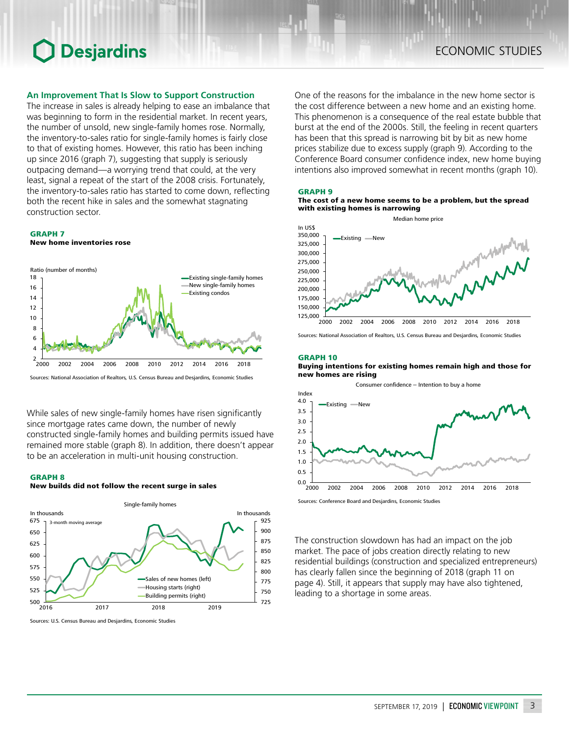### **An Improvement That Is Slow to Support Construction**

The increase in sales is already helping to ease an imbalance that was beginning to form in the residential market. In recent years, the number of unsold, new single-family homes rose. Normally, the inventory-to-sales ratio for single-family homes is fairly close to that of existing homes. However, this ratio has been inching up since 2016 (graph 7), suggesting that supply is seriously outpacing demand—a worrying trend that could, at the very least, signal a repeat of the start of the 2008 crisis. Fortunately, the inventory-to-sales ratio has started to come down, reflecting both the recent hike in sales and the somewhat stagnating construction sector.

### GRAPH 7

New home inventories rose



Sources: National Association of Realtors, U.S. Census Bureau and Desjardins, Economic Studies

While sales of new single-family homes have risen significantly since mortgage rates came down, the number of newly constructed single-family homes and building permits issued have remained more stable (graph 8). In addition, there doesn't appear to be an acceleration in multi-unit housing construction.

#### GRAPH 8

#### New builds did not follow the recent surge in sales



Sources: U.S. Census Bureau and Desjardins, Economic Studies

One of the reasons for the imbalance in the new home sector is the cost difference between a new home and an existing home. This phenomenon is a consequence of the real estate bubble that burst at the end of the 2000s. Still, the feeling in recent quarters has been that this spread is narrowing bit by bit as new home prices stabilize due to excess supply (graph 9). According to the Conference Board consumer confidence index, new home buying intentions also improved somewhat in recent months (graph 10).

#### GRAPH 9

#### The cost of a new home seems to be a problem, but the spread with existing homes is narrowing



Sources: National Association of Realtors, U.S. Census Bureau and Desjardins, Economic Studies

#### GRAPH 10

Buying intentions for existing homes remain high and those for new homes are rising



Sources: Conference Board and Desjardins, Economic Studies

The construction slowdown has had an impact on the job market. The pace of jobs creation directly relating to new residential buildings (construction and specialized entrepreneurs) has clearly fallen since the beginning of 2018 (graph 11 on page 4). Still, it appears that supply may have also tightened, leading to a shortage in some areas.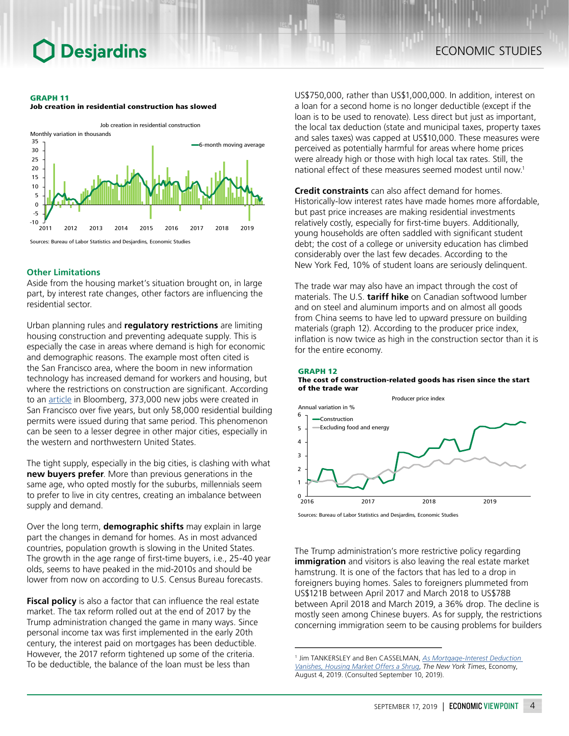#### GRAPH 11





#### **Other Limitations**

Aside from the housing market's situation brought on, in large part, by interest rate changes, other factors are influencing the residential sector.

Urban planning rules and **regulatory restrictions** are limiting housing construction and preventing adequate supply. This is especially the case in areas where demand is high for economic and demographic reasons. The example most often cited is the San Francisco area, where the boom in new information technology has increased demand for workers and housing, but where the restrictions on construction are significant. According to an [article](https://www.bloomberg.com/news/articles/2017-06-23/why-can-t-they-build-more-homes-where-the-jobs-are) in Bloomberg, 373,000 new jobs were created in San Francisco over five years, but only 58,000 residential building permits were issued during that same period. This phenomenon can be seen to a lesser degree in other major cities, especially in the western and northwestern United States.

The tight supply, especially in the big cities, is clashing with what **new buyers prefer**. More than previous generations in the same age, who opted mostly for the suburbs, millennials seem to prefer to live in city centres, creating an imbalance between supply and demand.

Over the long term, **demographic shifts** may explain in large part the changes in demand for homes. As in most advanced countries, population growth is slowing in the United States. The growth in the age range of first-time buyers, i.e., 25-40 year olds, seems to have peaked in the mid-2010s and should be lower from now on according to U.S. Census Bureau forecasts.

**Fiscal policy** is also a factor that can influence the real estate market. The tax reform rolled out at the end of 2017 by the Trump administration changed the game in many ways. Since personal income tax was first implemented in the early 20th century, the interest paid on mortgages has been deductible. However, the 2017 reform tightened up some of the criteria. To be deductible, the balance of the loan must be less than

US\$750,000, rather than US\$1,000,000. In addition, interest on a loan for a second home is no longer deductible (except if the loan is to be used to renovate). Less direct but just as important, the local tax deduction (state and municipal taxes, property taxes and sales taxes) was capped at US\$10,000. These measures were perceived as potentially harmful for areas where home prices were already high or those with high local tax rates. Still, the national effect of these measures seemed modest until now.1

**Credit constraints** can also affect demand for homes. Historically-low interest rates have made homes more affordable, but past price increases are making residential investments relatively costly, especially for first-time buyers. Additionally, young households are often saddled with significant student debt; the cost of a college or university education has climbed considerably over the last few decades. According to the New York Fed, 10% of student loans are seriously delinquent.

The trade war may also have an impact through the cost of materials. The U.S. **tariff hike** on Canadian softwood lumber and on steel and aluminum imports and on almost all goods from China seems to have led to upward pressure on building materials (graph 12). According to the producer price index, inflation is now twice as high in the construction sector than it is for the entire economy.





Sources: Bureau of Labor Statistics and Desjardins, Economic Studies

The Trump administration's more restrictive policy regarding **immigration** and visitors is also leaving the real estate market hamstrung. It is one of the factors that has led to a drop in foreigners buying homes. Sales to foreigners plummeted from US\$121B between April 2017 and March 2018 to US\$78B between April 2018 and March 2019, a 36% drop. The decline is mostly seen among Chinese buyers. As for supply, the restrictions concerning immigration seem to be causing problems for builders

<sup>1</sup> Jim TANKERSLEY and Ben CASSELMAN, *[As Mortgage-Interest Deduction](https://www.nytimes.com/2019/08/04/business/economy/mortgage-interest-deduction-tax.html)  [Vanishes, Housing Market Offers a Shrug](https://www.nytimes.com/2019/08/04/business/economy/mortgage-interest-deduction-tax.html)*, *The New York Times*, Economy, August 4, 2019. (Consulted September 10, 2019).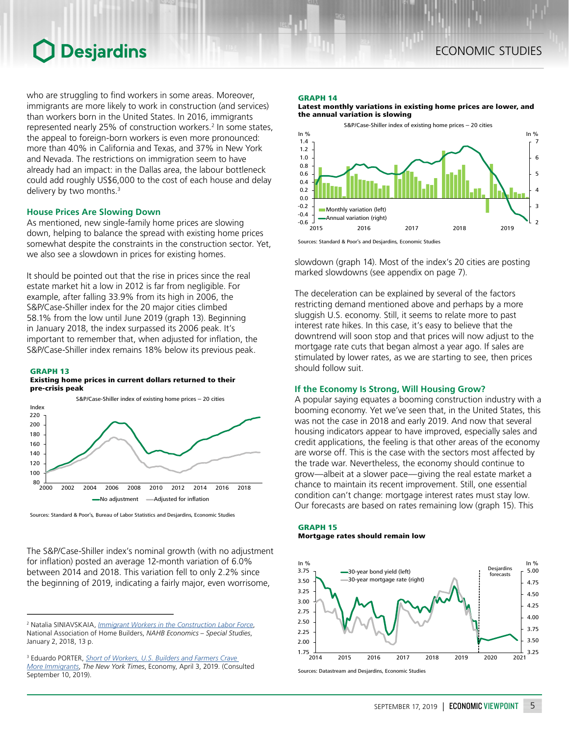## ECONOMIC STUDIES

## **O** Desjardins

who are struggling to find workers in some areas. Moreover, immigrants are more likely to work in construction (and services) than workers born in the United States. In 2016, immigrants represented nearly 25% of construction workers.<sup>2</sup> In some states, the appeal to foreign-born workers is even more pronounced: more than 40% in California and Texas, and 37% in New York and Nevada. The restrictions on immigration seem to have already had an impact: in the Dallas area, the labour bottleneck could add roughly US\$6,000 to the cost of each house and delay delivery by two months.<sup>3</sup>

### **House Prices Are Slowing Down**

As mentioned, new single-family home prices are slowing down, helping to balance the spread with existing home prices somewhat despite the constraints in the construction sector. Yet, we also see a slowdown in prices for existing homes.

It should be pointed out that the rise in prices since the real estate market hit a low in 2012 is far from negligible. For example, after falling 33.9% from its high in 2006, the S&P/Case-Shiller index for the 20 major cities climbed 58.1% from the low until June 2019 (graph 13). Beginning in January 2018, the index surpassed its 2006 peak. It's important to remember that, when adjusted for inflation, the S&P/Case-Shiller index remains 18% below its previous peak.

#### GRAPH 13

#### Existing home prices in current dollars returned to their pre-crisis peak



Sources: Standard & Poor's, Bureau of Labor Statistics and Desjardins, Economic Studies

The S&P/Case-Shiller index's nominal growth (with no adjustment for inflation) posted an average 12-month variation of 6.0% between 2014 and 2018. This variation fell to only 2.2% since the beginning of 2019, indicating a fairly major, even worrisome,

#### GRAPH 14

Latest monthly variations in existing home prices are lower, and the annual variation is slowing



Sources: Standard & Poor's and Desjardins, Economic Studies

slowdown (graph 14). Most of the index's 20 cities are posting marked slowdowns (see appendix on page 7).

The deceleration can be explained by several of the factors restricting demand mentioned above and perhaps by a more sluggish U.S. economy. Still, it seems to relate more to past interest rate hikes. In this case, it's easy to believe that the downtrend will soon stop and that prices will now adjust to the mortgage rate cuts that began almost a year ago. If sales are stimulated by lower rates, as we are starting to see, then prices should follow suit.

### **If the Economy Is Strong, Will Housing Grow?**

A popular saying equates a booming construction industry with a booming economy. Yet we've seen that, in the United States, this was not the case in 2018 and early 2019. And now that several housing indicators appear to have improved, especially sales and credit applications, the feeling is that other areas of the economy are worse off. This is the case with the sectors most affected by the trade war. Nevertheless, the economy should continue to grow—albeit at a slower pace—giving the real estate market a chance to maintain its recent improvement. Still, one essential condition can't change: mortgage interest rates must stay low. Our forecasts are based on rates remaining low (graph 15). This

#### GRAPH 15 Mortgage rates should remain low



Sources: Datastream and Desjardins, Economic Studies

<sup>2</sup> Natalia SINIAVSKAIA, *[Immigrant Workers in the Construction Labor Force](https://www.nahbclassic.org/fileUpload_details.aspx?contentTypeID=3&contentID=260375&subContentID=708405)*, National Association of Home Builders, *NAHB Economics – Special Studies*, January 2, 2018, 13 p.

<sup>3</sup> Eduardo PORTER, *Short of Workers, U.S. [Builders and Farmers Crave](https://www.nytimes.com/2019/04/03/business/economy/immigration-labor-economy.html)  [More Immigrants](https://www.nytimes.com/2019/04/03/business/economy/immigration-labor-economy.html)*, *The New York Times*, Economy, April 3, 2019. (Consulted September 10, 2019).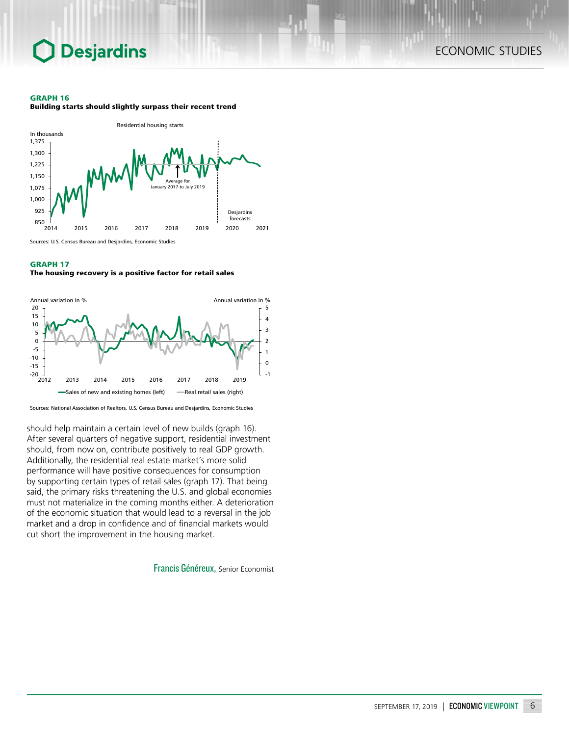## ECONOMIC STUDIES

#### GRAPH 16

Building starts should slightly surpass their recent trend



Sources: U.S. Census Bureau and Desjardins, Economic Studies

### GRAPH 17

#### The housing recovery is a positive factor for retail sales



Sources: National Association of Realtors, U.S. Census Bureau and Desjardins, Economic Studies

should help maintain a certain level of new builds (graph 16). After several quarters of negative support, residential investment should, from now on, contribute positively to real GDP growth. Additionally, the residential real estate market's more solid performance will have positive consequences for consumption by supporting certain types of retail sales (graph 17). That being said, the primary risks threatening the U.S. and global economies must not materialize in the coming months either. A deterioration of the economic situation that would lead to a reversal in the job market and a drop in confidence and of financial markets would cut short the improvement in the housing market.

Francis Généreux, Senior Economist